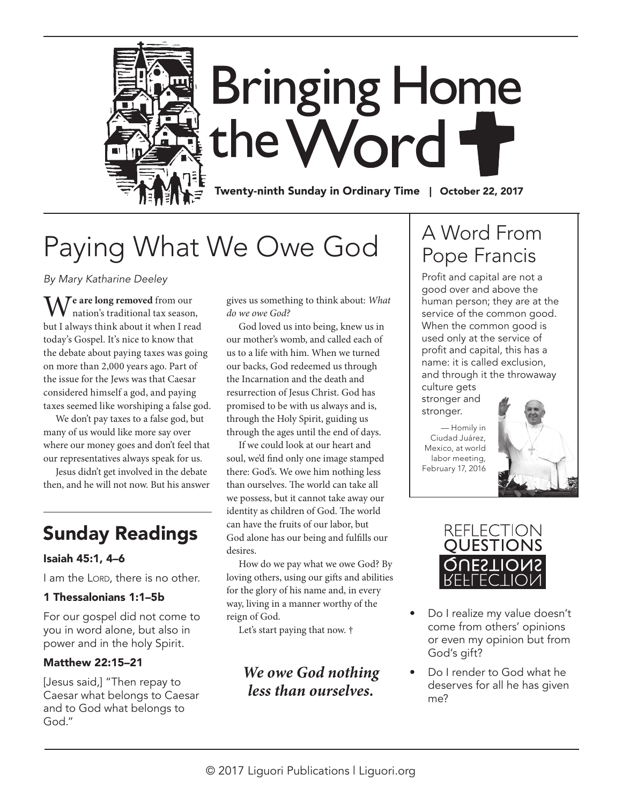

# Paying What We Owe God

*By Mary Katharine Deeley*

**Te are long removed** from our nation's traditional tax season, but I always think about it when I read today's Gospel. It's nice to know that the debate about paying taxes was going on more than 2,000 years ago. Part of the issue for the Jews was that Caesar considered himself a god, and paying taxes seemed like worshiping a false god.

We don't pay taxes to a false god, but many of us would like more say over where our money goes and don't feel that our representatives always speak for us.

Jesus didn't get involved in the debate then, and he will not now. But his answer

# Sunday Readings

### Isaiah 45:1, 4–6

I am the LORD, there is no other.

### 1 Thessalonians 1:1–5b

For our gospel did not come to you in word alone, but also in power and in the holy Spirit.

### Matthew 22:15–21

[Jesus said,] "Then repay to Caesar what belongs to Caesar and to God what belongs to God."

gives us something to think about: *What do we owe God?*

God loved us into being, knew us in our mother's womb, and called each of us to a life with him. When we turned our backs, God redeemed us through the Incarnation and the death and resurrection of Jesus Christ. God has promised to be with us always and is, through the Holy Spirit, guiding us through the ages until the end of days.

If we could look at our heart and soul, we'd find only one image stamped there: God's. We owe him nothing less than ourselves. The world can take all we possess, but it cannot take away our identity as children of God. The world can have the fruits of our labor, but God alone has our being and fulfills our desires.

How do we pay what we owe God? By loving others, using our gifts and abilities for the glory of his name and, in every way, living in a manner worthy of the reign of God.

Let's start paying that now. †

*We owe God nothing less than ourselves.* 

# A Word From Pope Francis

Profit and capital are not a good over and above the human person; they are at the service of the common good. When the common good is used only at the service of profit and capital, this has a name: it is called exclusion, and through it the throwaway culture gets

stronger and stronger.

— Homily in Ciudad Juárez, Mexico, at world labor meeting, February 17, 2016





- Do I realize my value doesn't come from others' opinions or even my opinion but from God's gift?
- Do I render to God what he deserves for all he has given me?